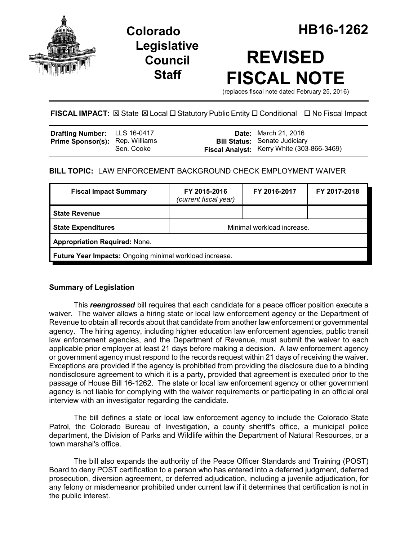

# **Legislative Council Staff**

# **REVISED FISCAL NOTE**

(replaces fiscal note dated February 25, 2016)

# **FISCAL IMPACT:** ⊠ State ⊠ Local □ Statutory Public Entity □ Conditional □ No Fiscal Impact

| Drafting Number: LLS 16-0417           |            | <b>Date:</b> March 21, 2016                                                        |
|----------------------------------------|------------|------------------------------------------------------------------------------------|
| <b>Prime Sponsor(s):</b> Rep. Williams | Sen. Cooke | <b>Bill Status:</b> Senate Judiciary<br>Fiscal Analyst: Kerry White (303-866-3469) |

## **BILL TOPIC:** LAW ENFORCEMENT BACKGROUND CHECK EMPLOYMENT WAIVER

| <b>Fiscal Impact Summary</b>                            | FY 2015-2016<br>(current fiscal year) | FY 2016-2017 | FY 2017-2018 |  |  |
|---------------------------------------------------------|---------------------------------------|--------------|--------------|--|--|
| <b>State Revenue</b>                                    |                                       |              |              |  |  |
| <b>State Expenditures</b>                               | Minimal workload increase.            |              |              |  |  |
| <b>Appropriation Required: None.</b>                    |                                       |              |              |  |  |
| Future Year Impacts: Ongoing minimal workload increase. |                                       |              |              |  |  |

### **Summary of Legislation**

This *reengrossed* bill requires that each candidate for a peace officer position execute a waiver. The waiver allows a hiring state or local law enforcement agency or the Department of Revenue to obtain all records about that candidate from another law enforcement or governmental agency. The hiring agency, including higher education law enforcement agencies, public transit law enforcement agencies, and the Department of Revenue, must submit the waiver to each applicable prior employer at least 21 days before making a decision. A law enforcement agency or government agency must respond to the records request within 21 days of receiving the waiver. Exceptions are provided if the agency is prohibited from providing the disclosure due to a binding nondisclosure agreement to which it is a party, provided that agreement is executed prior to the passage of House Bill 16-1262. The state or local law enforcement agency or other government agency is not liable for complying with the waiver requirements or participating in an official oral interview with an investigator regarding the candidate.

The bill defines a state or local law enforcement agency to include the Colorado State Patrol, the Colorado Bureau of Investigation, a county sheriff's office, a municipal police department, the Division of Parks and Wildlife within the Department of Natural Resources, or a town marshal's office.

The bill also expands the authority of the Peace Officer Standards and Training (POST) Board to deny POST certification to a person who has entered into a deferred judgment, deferred prosecution, diversion agreement, or deferred adjudication, including a juvenile adjudication, for any felony or misdemeanor prohibited under current law if it determines that certification is not in the public interest.